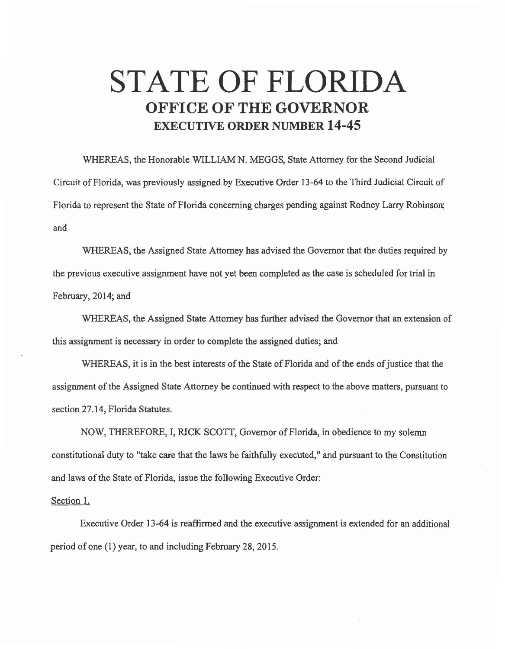## **STATE OF FLORIDA OFFICE OF THE GOVERNOR EXECUTIVE ORDER NUMBER 14-45**

WHEREAS, the Honorable WILLIAM N. MEGGS, State Attorney for the Second Judicial Circuit of Florida, was previously assigned by Executive Order 13-64 to the Third Judicial Circuit of Florida to represent the State of Florida concerning charges pending against Rodney Larry Robinson; and

WHEREAS, the Assigned State Attorney has advised the Governor that the duties required by the previous executive assignment have not yet been completed as the case is scheduled for trial in February, 2014; and

WHEREAS, the Assigned State Attorney has further advised the Governor that an extension of this assignment is necessary in order to complete the assigned duties; and

WHEREAS, it is in the best interests of the State of Florida and of the ends of justice that the assignment of the Assigned State Attorney be continued with respect to the above matters, pursuant to section 27.14, Florida Statutes.

NOW, THEREFORE, I, RICK SCOTT, Governor of Florida, in obedience to my solemn constitutional duty to "take care that the laws be faithfully executed," and pursuant to the Constitution and laws of the State of Florida, issue the following Executive Order:

Section 1.

Executive Order 13-64 is reaffirmed and the executive assignment is extended for an additional period of one (1) year, to and including February 28, 2015.